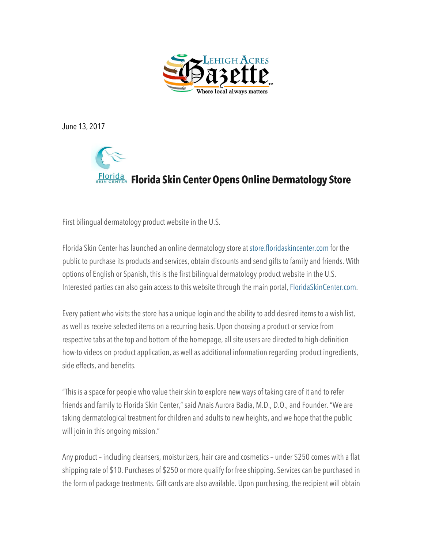

June 13, 2017



First bilingual dermatology product website in the U.S.

Florida Skin Center has launched an online dermatology store at store.floridaskincenter.com for the public to purchase its products and services, obtain discounts and send gifts to family and friends. With options of English or Spanish, this is the first bilingual dermatology product website in the U.S. Interested parties can also gain access to this website through the main portal, FloridaSkinCenter.com.

Every patient who visits the store has a unique login and the ability to add desired items to a wish list, as well as receive selected items on a recurring basis. Upon choosing a product or service from respective tabs at the top and bottom of the homepage, all site users are directed to high-definition how-to videos on product application, as well as additional information regarding product ingredients, side effects, and benefits.

"This is a space for people who value their skin to explore new ways of taking care of it and to refer friends and family to Florida Skin Center," said Anais Aurora Badia, M.D., D.O., and Founder. "We are taking dermatological treatment for children and adults to new heights, and we hope that the public will join in this ongoing mission."

Any product – including cleansers, moisturizers, hair care and cosmetics – under \$250 comes with a flat shipping rate of \$10. Purchases of \$250 or more qualify for free shipping. Services can be purchased in the form of package treatments. Gift cards are also available. Upon purchasing, the recipient will obtain